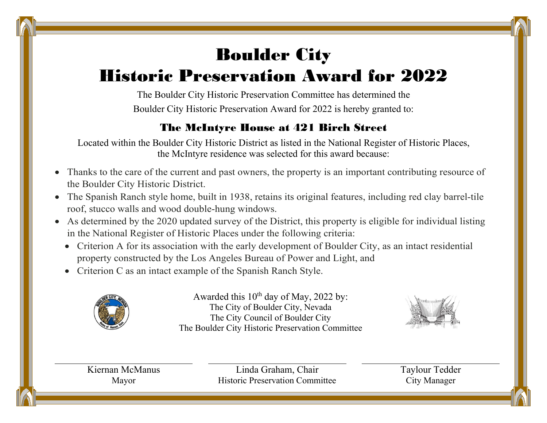## Boulder City

## Historic Preservation Award for 2022

The Boulder City Historic Preservation Committee has determined the Boulder City Historic Preservation Award for 2022 is hereby granted to:

## The McIntyre House at 421 Birch Street

Located within the Boulder City Historic District as listed in the National Register of Historic Places, the McIntyre residence was selected for this award because:

- Thanks to the care of the current and past owners, the property is an important contributing resource of the Boulder City Historic District.
- The Spanish Ranch style home, built in 1938, retains its original features, including red clay barrel-tile roof, stucco walls and wood double-hung windows.
- As determined by the 2020 updated survey of the District, this property is eligible for individual listing in the National Register of Historic Places under the following criteria:
	- Criterion A for its association with the early development of Boulder City, as an intact residential property constructed by the Los Angeles Bureau of Power and Light, and
	- Criterion C as an intact example of the Spanish Ranch Style.



Awarded this  $10^{th}$  day of May, 2022 by: The City of Boulder City, Nevada The City Council of Boulder City The Boulder City Historic Preservation Committee



Kiernan McManus Mayor

Linda Graham, Chair Historic Preservation Committee Taylour Tedder City Manager